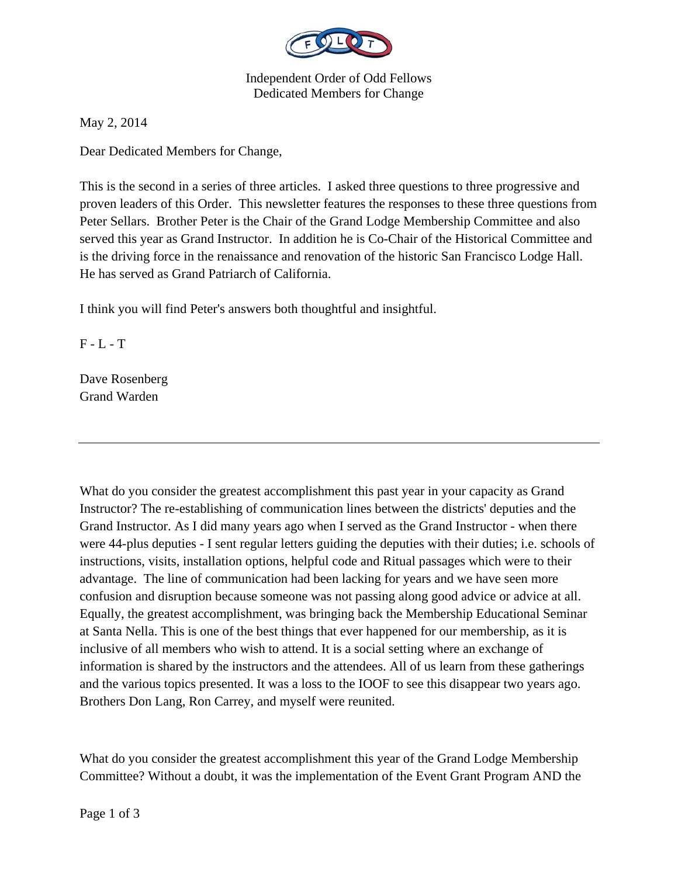

Independent Order of Odd Fellows Dedicated Members for Change

May 2, 2014

Dear Dedicated Members for Change,

This is the second in a series of three articles. I asked three questions to three progressive and proven leaders of this Order. This newsletter features the responses to these three questions from Peter Sellars. Brother Peter is the Chair of the Grand Lodge Membership Committee and also served this year as Grand Instructor. In addition he is Co-Chair of the Historical Committee and is the driving force in the renaissance and renovation of the historic San Francisco Lodge Hall. He has served as Grand Patriarch of California.

I think you will find Peter's answers both thoughtful and insightful.

 $F - L - T$ 

Dave Rosenberg Grand Warden

What do you consider the greatest accomplishment this past year in your capacity as Grand Instructor? The re-establishing of communication lines between the districts' deputies and the Grand Instructor. As I did many years ago when I served as the Grand Instructor - when there were 44-plus deputies - I sent regular letters guiding the deputies with their duties; i.e. schools of instructions, visits, installation options, helpful code and Ritual passages which were to their advantage. The line of communication had been lacking for years and we have seen more confusion and disruption because someone was not passing along good advice or advice at all. Equally, the greatest accomplishment, was bringing back the Membership Educational Seminar at Santa Nella. This is one of the best things that ever happened for our membership, as it is inclusive of all members who wish to attend. It is a social setting where an exchange of information is shared by the instructors and the attendees. All of us learn from these gatherings and the various topics presented. It was a loss to the IOOF to see this disappear two years ago. Brothers Don Lang, Ron Carrey, and myself were reunited.

What do you consider the greatest accomplishment this year of the Grand Lodge Membership Committee? Without a doubt, it was the implementation of the Event Grant Program AND the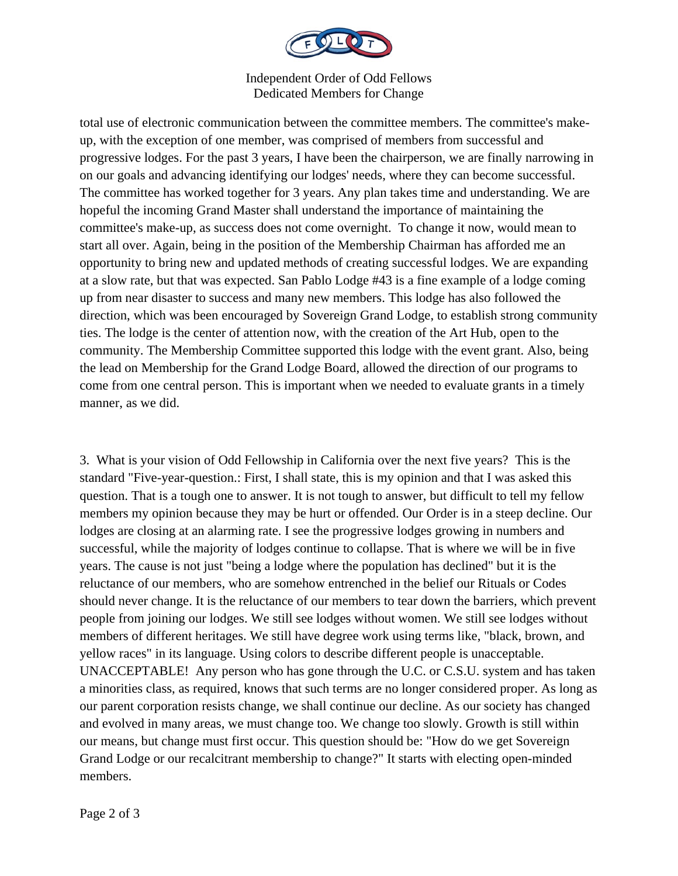

## Independent Order of Odd Fellows Dedicated Members for Change

total use of electronic communication between the committee members. The committee's makeup, with the exception of one member, was comprised of members from successful and progressive lodges. For the past 3 years, I have been the chairperson, we are finally narrowing in on our goals and advancing identifying our lodges' needs, where they can become successful. The committee has worked together for 3 years. Any plan takes time and understanding. We are hopeful the incoming Grand Master shall understand the importance of maintaining the committee's make-up, as success does not come overnight. To change it now, would mean to start all over. Again, being in the position of the Membership Chairman has afforded me an opportunity to bring new and updated methods of creating successful lodges. We are expanding at a slow rate, but that was expected. San Pablo Lodge #43 is a fine example of a lodge coming up from near disaster to success and many new members. This lodge has also followed the direction, which was been encouraged by Sovereign Grand Lodge, to establish strong community ties. The lodge is the center of attention now, with the creation of the Art Hub, open to the community. The Membership Committee supported this lodge with the event grant. Also, being the lead on Membership for the Grand Lodge Board, allowed the direction of our programs to come from one central person. This is important when we needed to evaluate grants in a timely manner, as we did.

3. What is your vision of Odd Fellowship in California over the next five years? This is the standard "Five-year-question.: First, I shall state, this is my opinion and that I was asked this question. That is a tough one to answer. It is not tough to answer, but difficult to tell my fellow members my opinion because they may be hurt or offended. Our Order is in a steep decline. Our lodges are closing at an alarming rate. I see the progressive lodges growing in numbers and successful, while the majority of lodges continue to collapse. That is where we will be in five years. The cause is not just "being a lodge where the population has declined" but it is the reluctance of our members, who are somehow entrenched in the belief our Rituals or Codes should never change. It is the reluctance of our members to tear down the barriers, which prevent people from joining our lodges. We still see lodges without women. We still see lodges without members of different heritages. We still have degree work using terms like, "black, brown, and yellow races" in its language. Using colors to describe different people is unacceptable. UNACCEPTABLE! Any person who has gone through the U.C. or C.S.U. system and has taken a minorities class, as required, knows that such terms are no longer considered proper. As long as our parent corporation resists change, we shall continue our decline. As our society has changed and evolved in many areas, we must change too. We change too slowly. Growth is still within our means, but change must first occur. This question should be: "How do we get Sovereign Grand Lodge or our recalcitrant membership to change?" It starts with electing open-minded members.